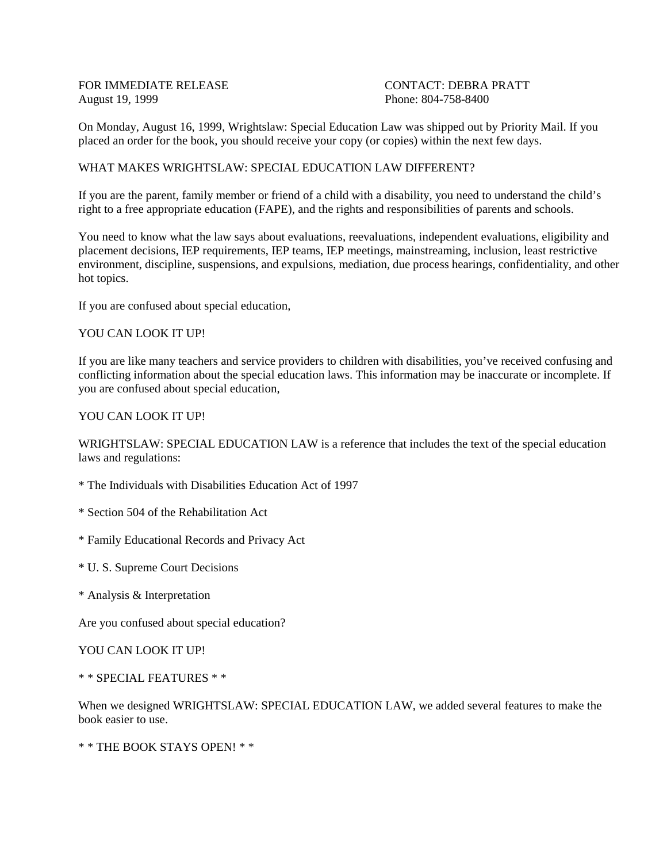FOR IMMEDIATE RELEASE CONTACT: DEBRA PRATT August 19, 1999 **Phone: 804-758-8400** 

On Monday, August 16, 1999, Wrightslaw: Special Education Law was shipped out by Priority Mail. If you placed an order for the book, you should receive your copy (or copies) within the next few days.

## WHAT MAKES WRIGHTSLAW: SPECIAL EDUCATION LAW DIFFERENT?

If you are the parent, family member or friend of a child with a disability, you need to understand the child's right to a free appropriate education (FAPE), and the rights and responsibilities of parents and schools.

You need to know what the law says about evaluations, reevaluations, independent evaluations, eligibility and placement decisions, IEP requirements, IEP teams, IEP meetings, mainstreaming, inclusion, least restrictive environment, discipline, suspensions, and expulsions, mediation, due process hearings, confidentiality, and other hot topics.

If you are confused about special education,

#### YOU CAN LOOK IT UP!

If you are like many teachers and service providers to children with disabilities, you've received confusing and conflicting information about the special education laws. This information may be inaccurate or incomplete. If you are confused about special education,

### YOU CAN LOOK IT UP!

WRIGHTSLAW: SPECIAL EDUCATION LAW is a reference that includes the text of the special education laws and regulations:

- \* The Individuals with Disabilities Education Act of 1997
- \* Section 504 of the Rehabilitation Act
- \* Family Educational Records and Privacy Act
- \* U. S. Supreme Court Decisions
- \* Analysis & Interpretation

Are you confused about special education?

YOU CAN LOOK IT UP!

\* \* SPECIAL FEATURES \* \*

When we designed WRIGHTSLAW: SPECIAL EDUCATION LAW, we added several features to make the book easier to use.

\* \* THE BOOK STAYS OPEN! \* \*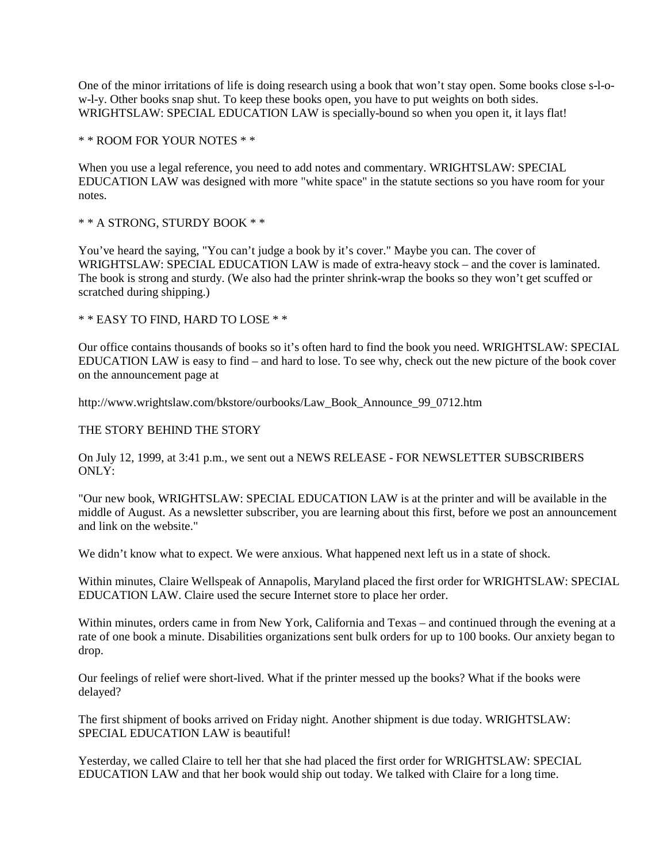One of the minor irritations of life is doing research using a book that won't stay open. Some books close s-l-ow-l-y. Other books snap shut. To keep these books open, you have to put weights on both sides. WRIGHTSLAW: SPECIAL EDUCATION LAW is specially-bound so when you open it, it lays flat!

\* \* ROOM FOR YOUR NOTES \* \*

When you use a legal reference, you need to add notes and commentary. WRIGHTSLAW: SPECIAL EDUCATION LAW was designed with more "white space" in the statute sections so you have room for your notes.

\* \* A STRONG, STURDY BOOK \* \*

You've heard the saying, "You can't judge a book by it's cover." Maybe you can. The cover of WRIGHTSLAW: SPECIAL EDUCATION LAW is made of extra-heavy stock – and the cover is laminated. The book is strong and sturdy. (We also had the printer shrink-wrap the books so they won't get scuffed or scratched during shipping.)

\* \* EASY TO FIND, HARD TO LOSE \* \*

Our office contains thousands of books so it's often hard to find the book you need. WRIGHTSLAW: SPECIAL EDUCATION LAW is easy to find – and hard to lose. To see why, check out the new picture of the book cover on the announcement page at

http://www.wrightslaw.com/bkstore/ourbooks/Law\_Book\_Announce\_99\_0712.htm

#### THE STORY BEHIND THE STORY

On July 12, 1999, at 3:41 p.m., we sent out a NEWS RELEASE - FOR NEWSLETTER SUBSCRIBERS ONLY:

"Our new book, WRIGHTSLAW: SPECIAL EDUCATION LAW is at the printer and will be available in the middle of August. As a newsletter subscriber, you are learning about this first, before we post an announcement and link on the website."

We didn't know what to expect. We were anxious. What happened next left us in a state of shock.

Within minutes, Claire Wellspeak of Annapolis, Maryland placed the first order for WRIGHTSLAW: SPECIAL EDUCATION LAW. Claire used the secure Internet store to place her order.

Within minutes, orders came in from New York, California and Texas – and continued through the evening at a rate of one book a minute. Disabilities organizations sent bulk orders for up to 100 books. Our anxiety began to drop.

Our feelings of relief were short-lived. What if the printer messed up the books? What if the books were delayed?

The first shipment of books arrived on Friday night. Another shipment is due today. WRIGHTSLAW: SPECIAL EDUCATION LAW is beautiful!

Yesterday, we called Claire to tell her that she had placed the first order for WRIGHTSLAW: SPECIAL EDUCATION LAW and that her book would ship out today. We talked with Claire for a long time.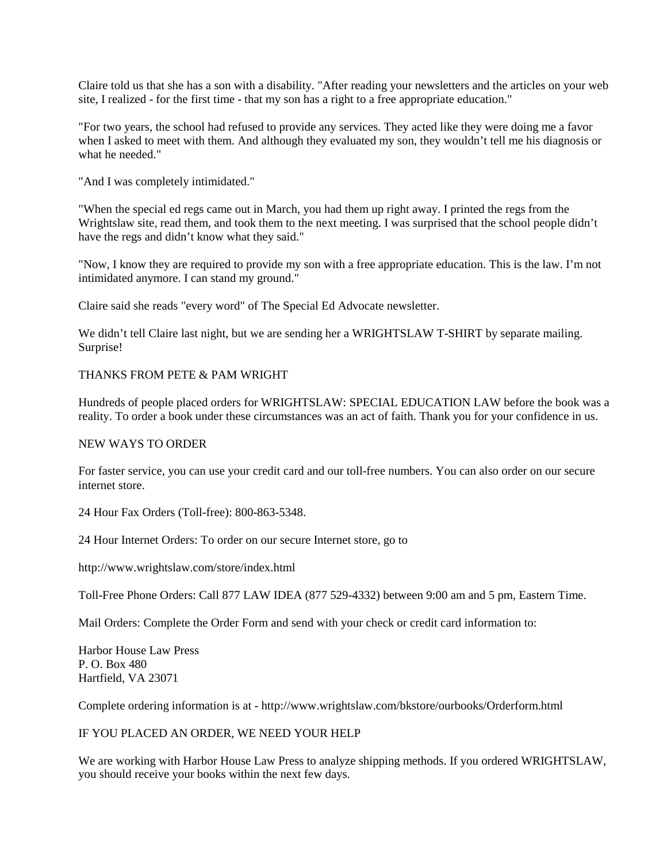Claire told us that she has a son with a disability. "After reading your newsletters and the articles on your web site, I realized - for the first time - that my son has a right to a free appropriate education."

"For two years, the school had refused to provide any services. They acted like they were doing me a favor when I asked to meet with them. And although they evaluated my son, they wouldn't tell me his diagnosis or what he needed."

"And I was completely intimidated."

"When the special ed regs came out in March, you had them up right away. I printed the regs from the Wrightslaw site, read them, and took them to the next meeting. I was surprised that the school people didn't have the regs and didn't know what they said."

"Now, I know they are required to provide my son with a free appropriate education. This is the law. I'm not intimidated anymore. I can stand my ground."

Claire said she reads "every word" of The Special Ed Advocate newsletter.

We didn't tell Claire last night, but we are sending her a WRIGHTSLAW T-SHIRT by separate mailing. Surprise!

## THANKS FROM PETE & PAM WRIGHT

Hundreds of people placed orders for WRIGHTSLAW: SPECIAL EDUCATION LAW before the book was a reality. To order a book under these circumstances was an act of faith. Thank you for your confidence in us.

## NEW WAYS TO ORDER

For faster service, you can use your credit card and our toll-free numbers. You can also order on our secure internet store.

24 Hour Fax Orders (Toll-free): 800-863-5348.

24 Hour Internet Orders: To order on our secure Internet store, go to

http://www.wrightslaw.com/store/index.html

Toll-Free Phone Orders: Call 877 LAW IDEA (877 529-4332) between 9:00 am and 5 pm, Eastern Time.

Mail Orders: Complete the Order Form and send with your check or credit card information to:

Harbor House Law Press P. O. Box 480 Hartfield, VA 23071

Complete ordering information is at - http://www.wrightslaw.com/bkstore/ourbooks/Orderform.html

# IF YOU PLACED AN ORDER, WE NEED YOUR HELP

We are working with Harbor House Law Press to analyze shipping methods. If you ordered WRIGHTSLAW, you should receive your books within the next few days.